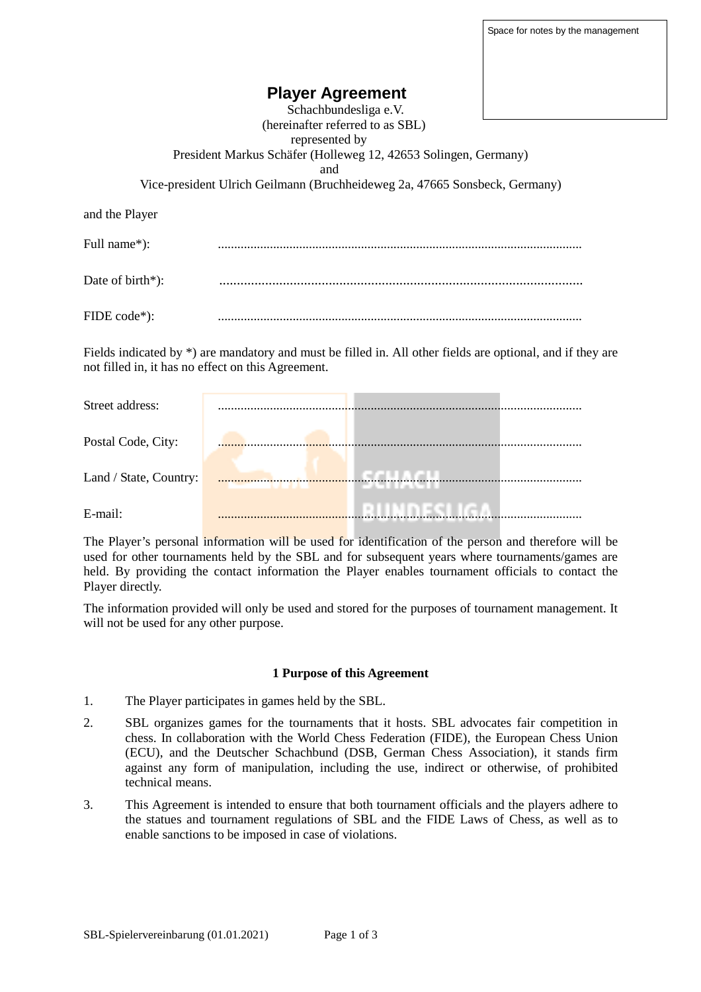# **Player Agreement**

 Schachbundesliga e.V. (hereinafter referred to as SBL) represented by President Markus Schäfer (Holleweg 12, 42653 Solingen, Germany) and Vice-president Ulrich Geilmann (Bruchheideweg 2a, 47665 Sonsbeck, Germany) and the Player Full name\*): ................................................................................................................ Date of birth\*): ....................................................................................................... FIDE code\*): ................................................................................................................

Fields indicated by \*) are mandatory and must be filled in. All other fields are optional, and if they are not filled in, it has no effect on this Agreement.

| Street address:        |  |
|------------------------|--|
| Postal Code, City:     |  |
| Land / State, Country: |  |
| E-mail:                |  |

The Player's personal information will be used for identification of the person and therefore will be used for other tournaments held by the SBL and for subsequent years where tournaments/games are held. By providing the contact information the Player enables tournament officials to contact the Player directly.

The information provided will only be used and stored for the purposes of tournament management. It will not be used for any other purpose.

#### **1 Purpose of this Agreement**

- 1. The Player participates in games held by the SBL.
- 2. SBL organizes games for the tournaments that it hosts. SBL advocates fair competition in chess. In collaboration with the World Chess Federation (FIDE), the European Chess Union (ECU), and the Deutscher Schachbund (DSB, German Chess Association), it stands firm against any form of manipulation, including the use, indirect or otherwise, of prohibited technical means.
- 3. This Agreement is intended to ensure that both tournament officials and the players adhere to the statues and tournament regulations of SBL and the FIDE Laws of Chess, as well as to enable sanctions to be imposed in case of violations.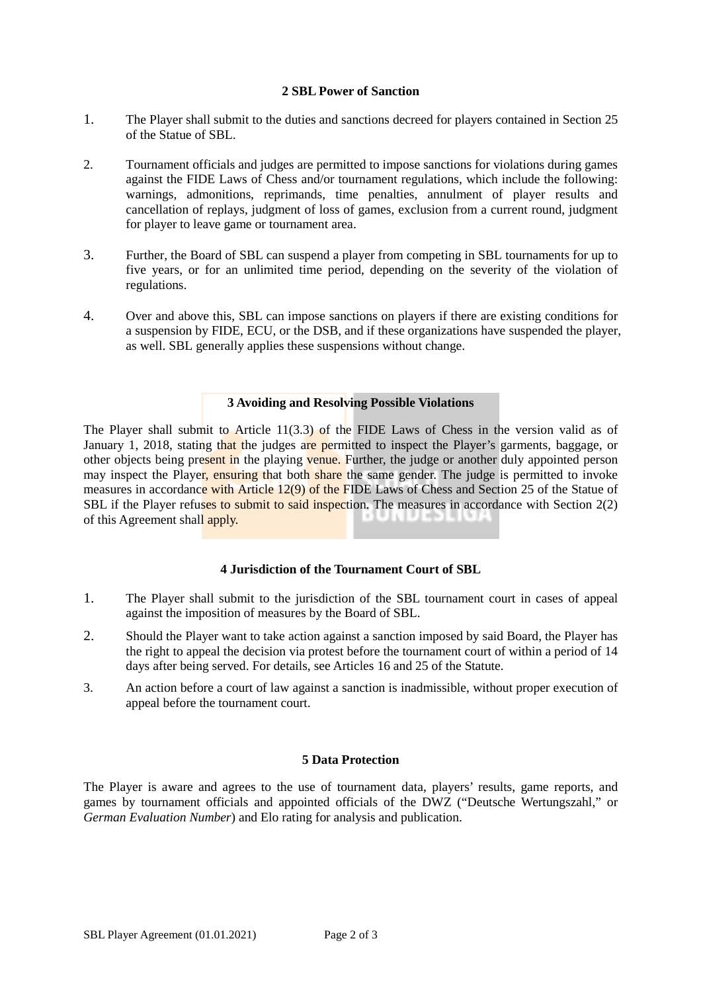## **2 SBL Power of Sanction**

- 1. The Player shall submit to the duties and sanctions decreed for players contained in Section 25 of the Statue of SBL.
- 2. Tournament officials and judges are permitted to impose sanctions for violations during games against the FIDE Laws of Chess and/or tournament regulations, which include the following: warnings, admonitions, reprimands, time penalties, annulment of player results and cancellation of replays, judgment of loss of games, exclusion from a current round, judgment for player to leave game or tournament area.
- 3. Further, the Board of SBL can suspend a player from competing in SBL tournaments for up to five years, or for an unlimited time period, depending on the severity of the violation of regulations.
- 4. Over and above this, SBL can impose sanctions on players if there are existing conditions for a suspension by FIDE, ECU, or the DSB, and if these organizations have suspended the player, as well. SBL generally applies these suspensions without change.

#### **3 Avoiding and Resolving Possible Violations**

The Player shall submit to Article 11(3.3) of the FIDE Laws of Chess in the version valid as of January 1, 2018, stating that the judges are permitted to inspect the Player's garments, baggage, or other objects being present in the playing venue. Further, the judge or another duly appointed person may inspect the Player, ensuring that both share the same gender. The judge is permitted to invoke measures in accordance with Article 12(9) of the FIDE Laws of Chess and Section 25 of the Statue of SBL if the Player refuses to submit to said inspection. The measures in accordance with Section 2(2) of this Agreement shall apply. 9 U N U ED L N

### **4 Jurisdiction of the Tournament Court of SBL**

- 1. The Player shall submit to the jurisdiction of the SBL tournament court in cases of appeal against the imposition of measures by the Board of SBL.
- 2. Should the Player want to take action against a sanction imposed by said Board, the Player has the right to appeal the decision via protest before the tournament court of within a period of 14 days after being served. For details, see Articles 16 and 25 of the Statute.
- 3. An action before a court of law against a sanction is inadmissible, without proper execution of appeal before the tournament court.

#### **5 Data Protection**

The Player is aware and agrees to the use of tournament data, players' results, game reports, and games by tournament officials and appointed officials of the DWZ ("Deutsche Wertungszahl," or *German Evaluation Number*) and Elo rating for analysis and publication.